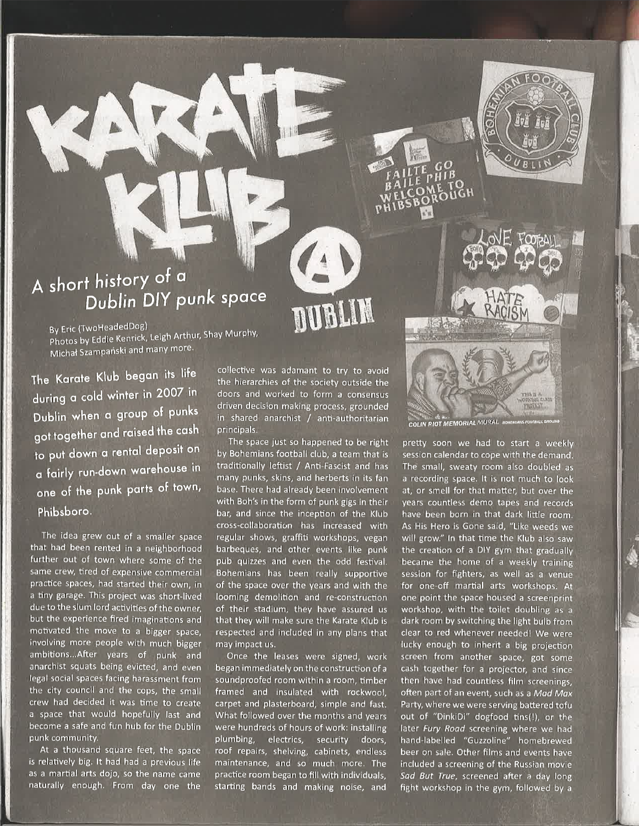

Bv Eric (TwoHeadedDog) sy Eric (William<br>Photos by Eddie Kenrick, Leigh Arthur, Shay Murphy Michał Szampański and many more.

The Karate Klub began its life during o cold winter in 2007 in Dublin when a group of punks got together and raised the cash to put down a rental deposit on a fairly run-down warehouse in <sub>one o</sub>f the punk parts of town, Phibsboro.

The idea grew out of a smaller space that had been rented in a neighborhood further out of town where some of the same crew, tired of expensive commercial practice spaces, had started their own, in a tiny garage. This project was short-lived due to the slum lord activities of the owner; but the experience fired imaginations and motivated the move to a bigger space, involving more people wìth much bigger ambitions...After years of punk and anarchist squats being evicted, and even legal social spaces facing harassment from the city council and the cops, the small crew had decided it was time to create a space that would hopefully last and become a safe and fun hub for the Dublin punk community.

At a thousand square feet, the space is relatively big. lt had had a previous life as a martial arts dojo, so the name came naturally enough. From day one the collective was adamant to try to avoid the hierarchies of the society outside the doors and worked to form a consensus driven decision making process, grounded in shared anarchist / anti-authoritarian principals.

DUBLIN

The space just so happened to be right by Bohemians football club, a team that is traditionally leftist / Anti-Fascist and has many punks, skins, and herberts in its fan base. There had already been involvement with Boh's in the form of punk gigs in their bar, and since the inception of the Klub cross-collaboration has increased with regular shows, graffiti workshops, vegan barbeques, and other events like punk pub quizzes and even the odd festival. Bohemians has been really supportive of the space over the years and with the looming demolition and re-construction of their stadium, they have assured us that they will make sure the Karate Klub is respected and included in any plans that may impact us.

Once the leases were signed, work began immediately on the construction of <sup>a</sup> soundproofed room within a room, timber framed and insulated with rockwool, carpet and plasterboard, simple and fast. What followed over the months and years were hundreds of hours of work: installing plumbing, electrics, security doors, roof repairs, shelving, cabinets, endless maintenance, and so much more. The practice room began to fill with individuals, starting bands and making noise, and

BOHEMIANS FOOTBALL GROUND

رچونه<br>COLIN RIOT MEMORIAL

pretty soon we had to start a weekly session calendar to cope with the demand. The small, sweaty room also doubled as a recording space. It is not much to look at, or smell for that matter, but over the years countless demo tapes and records have been born in that dark little room. As His Hero is Gone said, "Like weeds we will grow." ln that time the Klub also saw the creation of a DIY gym that gradually became the home of a weekly training session for fighters, as well as a venue for one-off martial arts workshops. At one point the space housed a screenprint workshop, with the toilet doubling as <sup>a</sup> dark room by switching the light bulb from clear to red whenever needed! We were lucky enough to inherit a big projection screen from another space, got some cash together for a projector, and since then have had countless film screenings, often part of an event, such as a Mad Max Party, where we were serving battered tofu out of "DinkiDi" dogfood tins(!), or the later Fury Road screening where we had hand-labelled "Guzzoline" homebrewed beer on sale. Other films and events have included a screening of the Russian movie Sad But True, screened after a day long fight workshop in the gym, followed by a

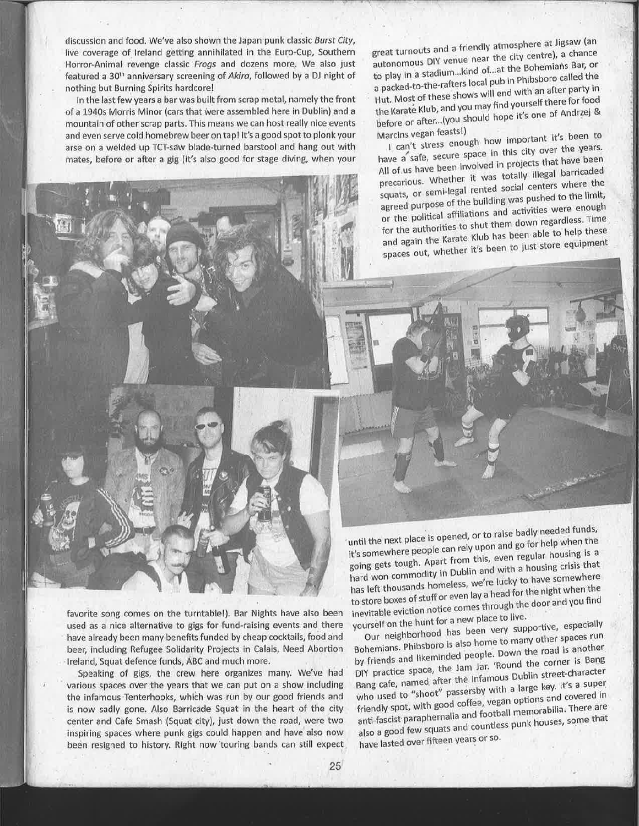discussion and food. We've also shown the Japan punk classic Burst City, live coverage of Ireland getting annihilated in the Euro-Cup, Southern Horror-Animal revenge classic Frogs and dozens more. We also just featured a 30<sup>th</sup> anniversary screening of Akira, followed by a DJ night of nothing but Burning Spirits hardcore!

In the last few years a bar was built from scrap metal, namely the front of a 1940s Morris Minor (cars that were assembled here in Dublin) and a mountain of other scrap parts. This means we can host really nice events and even serve cold homebrew beer on tap! It's a good spot to plonk your arse on a welded up TCT-saw blade-turned barstool and hang out with mates, before or after a gig (it's also good for stage diving, when your

great turnouts and a friendly atmosphere at Jigsaw (an autonomous DIY venue near the city centre), a chance to play in a stadium... kind of ... at the Bohemians Bar, or a packed-to-the-rafters local pub in Phibsboro called the Hut. Most of these shows will end with an after party in the Karate Klub, and you may find yourself there for food before or after...(you should hope it's one of Andrzej & Marcins vegan feasts!)

I can't stress enough how important it's been to have a safe, secure space in this city over the years. All of us have been involved in projects that have been precarious. Whether it was totally illegal barricaded squats, or semi-legal rented social centers where the agreed purpose of the building was pushed to the limit, or the political affiliations and activities were enough for the authorities to shut them down regardless. Time and again the Karate Klub has been able to help these spaces out, whether it's been to just store equipment

favorite song comes on the turntable!). Bar Nights have also been used as a nice alternative to gigs for fund-raising events and there have already been many benefits funded by cheap cocktails, food and beer, including Refugee Solidarity Projects in Calais, Need Abortion Ireland, Squat defence funds, ABC and much more.

Speaking of gigs, the crew here organizes many. We've had various spaces over the years that we can put on a show including the infamous Tenterhooks, which was run by our good friends and is now sadly gone. Also Barricade Squat in the heart of the city center and Cafe Smash (Squat city), just down the road, were two inspiring spaces where punk gigs could happen and have also now been resigned to history. Right now touring bands can still expect

until the next place is opened, or to raise badly needed funds, it's somewhere people can rely upon and go for help when the going gets tough. Apart from this, even regular housing is a hard won commodity in Dublin and with a housing crisis that has left thousands homeless, we're lucky to have somewhere to store boxes of stuff or even lay a head for the night when the inevitable eviction notice comes through the door and you find yourself on the hunt for a new place to live.

Our neighborhood has been very supportive, especially Bohemians. Phibsboro is also home to many other spaces run by friends and likeminded people. Down the road is another DIY practice space, the Jam Jar. 'Round the corner is Bang Bang cafe, named after the infamous Dublin street-character who used to "shoot" passersby with a large key. It's a super friendly spot, with good coffee, vegan options and covered in anti-fascist paraphernalia and football memorabilia. There are also a good few squats and countless punk houses, some that have lasted over fifteen years or so.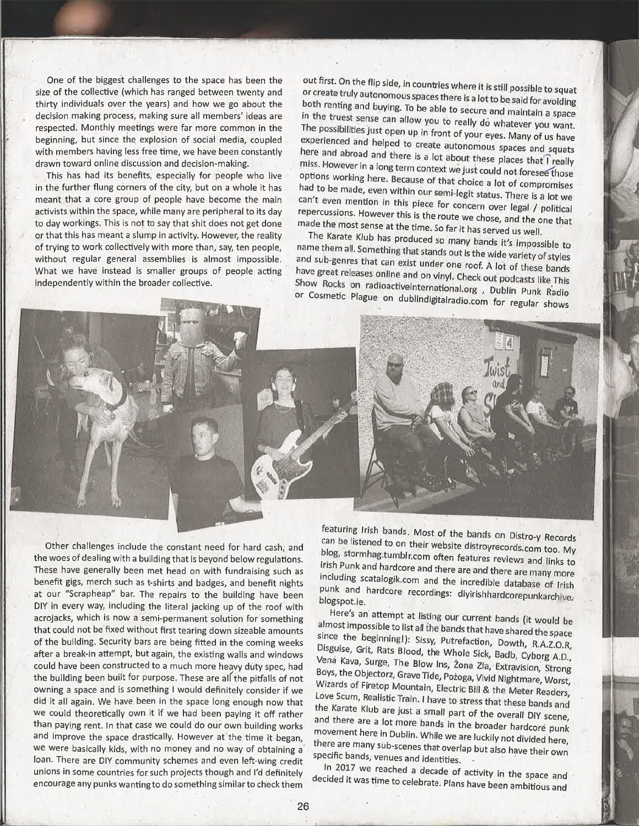One of the biggest challenges to the space has been the size of the collective (which has ranged between twenty and thirty individuãls over the years) and how we go about the decision making process, making sure all members' ideas are respected. Monthly meetings were far more common in the beginning, but since the explosion of social media, coupled with members having less free time, we have been constantly drawn toward online discussion and decision-making.

This has had its benefits, especially for people who live in the further flung córners of the city, but on a whole it has meant that a core group of people have become the main activists within the space, while many are peripheral to its day to day workings, This is not to say that shit does not get done or that this has meant a slump in activity. However, the reality of trying to work collectively with more than, say, ten people, without regular general assemblies is almost impossible. What we have instead is smaller groups of people acting independently within the broader collective.

out first. On the flip side, in countries where it is still possible or create truly autonomous spaces there is a lot to be said for avoiding<br>both renting and buying. To be still both renting and buying. To be able to secure and maintain a space in the truest sense can allow you to really do whatever you want.<br>The possibilities just once up in fu possibilities just open up in front of your eyes. Many of us have experienced and helped to create autonomous spaces and squats here and abroad and there is a lot about these places that I really miss. However in a long term context we just could not foresee those options working here. Because of that choice a lot of compromises had to be made, even within our semi-legit status. There is a lot we can't even mention in this piece for concern over legal / political repercussions. However this piece for concern over legal / political<br>repercussions. However this is the route we chose, and the one that made the most sense at the time. So far it has served us well

name them all. Something that stands out is the wide vertices of the to The Karate Klub has produced so many bands it's impossible to rights and sub-genres that can exist under one roof. A lot of these bands<br>and sub-genres that can exist under one roof. A lot of these bands<br>have great releases online and on vinyl. Check out podcasts like This Show Rocks on radioactiveinternational.org, Dublin Punk Radio<br>Pr Cosmotic Placu have great releases online and on vinyl. Check out podcasts like This or Cosmetic Plague on dublindigitalradio.com for regular shows

Other challenges include the constant need for hard cash; and the woes of dealing with a building that is beyond below regulations. These have generally been met head on with fundraising such as benefit gigs, merch such as t-shirts and badges, and benefit nights at our "scrapheap" bar. The repairs to the building have been DIY in every way, including the literal jacking up of the roof with acrojacks, which is now a semi-permanent solution for something that could not be fixed without first tearing down sizeable amounts of the building. Security bars are being fitted in the coming weeks after a break-in attempt, but again, the existing walls and windows could have been constructed to a much more heavy duty spec, had the building been built for purpose. These are all the pitfalls of not owning a space and is something I would definitely consider if we did it all again. We have been in the space long enough now that we could theoretically own it if we had been paying it off rather than paying rent. In that case we could do our own building works and improve the space drastically. However at the time it began, we were basically kids, with no money and no way of obtaining a' loan. There are DIY community schemes and even left-wing credit unions in some countries for: such projects lhough and l'd definitely encourage any punks wanting to do something similar to check them

featuring Irish bands. Most of the bands on Distro-y Records can be listened to on their website distroyrecords.com too. My blog, stormhag.tumblr.com often features reviews and links to rish Punk and hardcore and there are and there are many more punk and hardcore recordings: divirishhardcorepunkarchive. including scatalogik.com and the incredible database of Irish blogspot.ie.

Here's an attempt at listing our current bands (it would be almost impossible to list all the bands that have shared the space since the beginning!): Sissy, Putrefaction, Dowth, R.A.Z.O.R, Disguise, Grit, Rats Blood, the Whole Sick, Badb, Cyborg A.D.,<br>Vená Kava, Surge, The Blow Ins, Żona Zła, Extravision, Strong Wizards of Firetop Mountain, Electric Bill & the Meter Readers Boys, the Objectorz, Grave Tide, Pożoga, Vivid Nightmare, Worst, Love Scum, Realistic Train. I have to stress that these bands and<br>the Karate Klub are just a small part of the overall DIY scene,<br>and there are a lot more bands in the broader hardcore punk<br>movement here in Dublin. While w there are many sub-scenes that overlap but also have their own<br>specific bands, venues and identities. specific bands, venues and identities.<br>In 2017 we reached a decade of activity in the space and

have been ambitious and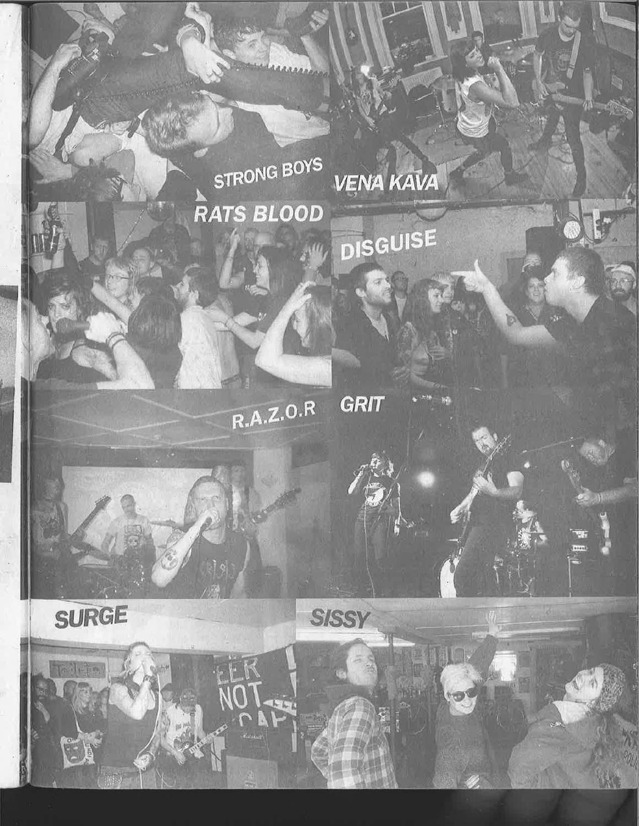